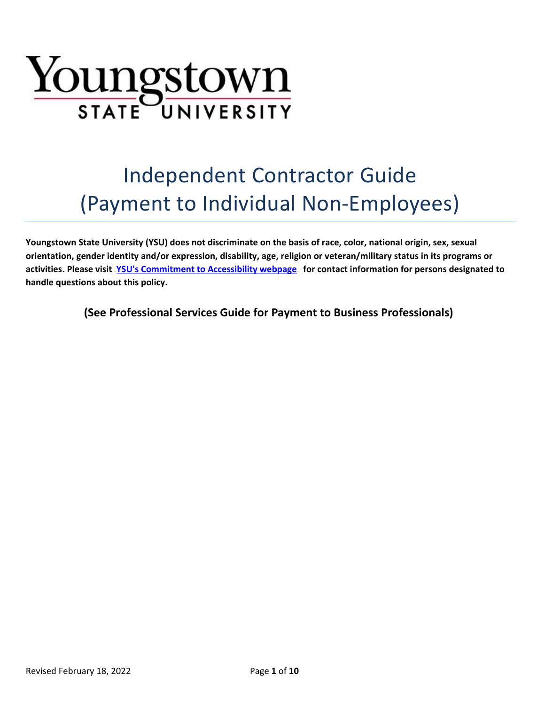

# Independent Contractor Guide (Payment to Individual Non-Employees)

**Youngstown State University (YSU) does not discriminate on the basis of race, color, national origin, sex, sexual orientation, gender identity and/or expression, disability, age, religion or veteran/military status in its programs or**  activities. Please visit <u>[YSU's Commitment to Accessibility webpage](http://cms.ysu.edu/accessibility/electronic-information-technology-%E2%80%9Ceit%E2%80%9D-accessibility-compliance)</u> for contact information for persons designated to **handle questions about this policy.**

**(See Professional Services Guide for Payment to Business Professionals)**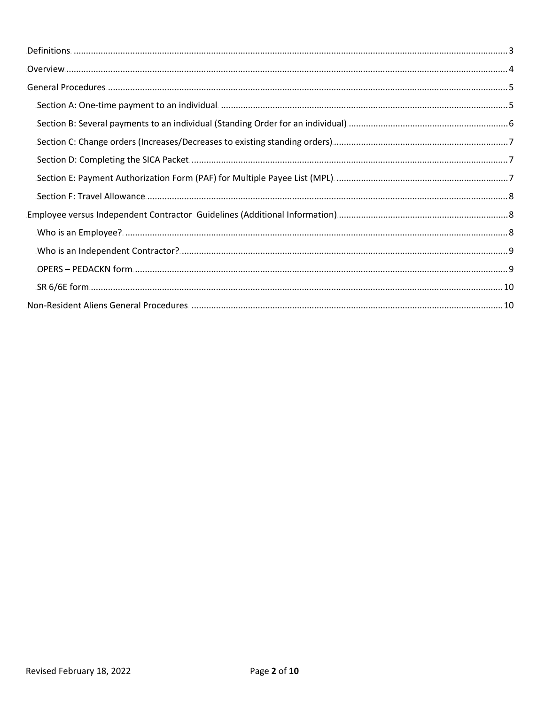| Section A: One-time payment to an individual manufacture manufacture manufacture and 5 |
|----------------------------------------------------------------------------------------|
|                                                                                        |
|                                                                                        |
|                                                                                        |
|                                                                                        |
|                                                                                        |
|                                                                                        |
|                                                                                        |
|                                                                                        |
|                                                                                        |
|                                                                                        |
|                                                                                        |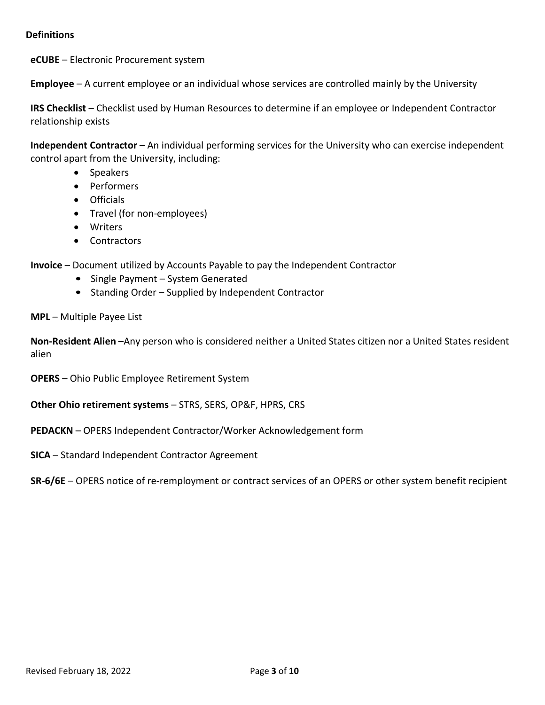### <span id="page-2-0"></span>**Definitions**

**eCUBE** – Electronic Procurement system

**Employee** – A current employee or an individual whose services are controlled mainly by the University

**IRS Checklist** – Checklist used by Human Resources to determine if an employee or Independent Contractor relationship exists

**Independent Contractor** – An individual performing services for the University who can exercise independent control apart from the University, including:

- Speakers
- Performers
- Officials
- Travel (for non-employees)
- Writers
- Contractors

**Invoice** – Document utilized by Accounts Payable to pay the Independent Contractor

- Single Payment System Generated
- Standing Order Supplied by Independent Contractor

**MPL** – Multiple Payee List

**Non-Resident Alien** –Any person who is considered neither a United States citizen nor a United States resident alien

**OPERS** – Ohio Public Employee Retirement System

**Other Ohio retirement systems** – STRS, SERS, OP&F, HPRS, CRS

**PEDACKN** – OPERS Independent Contractor/Worker Acknowledgement form

**SICA** – Standard Independent Contractor Agreement

**SR-6/6E** – OPERS notice of re-remployment or contract services of an OPERS or other system benefit recipient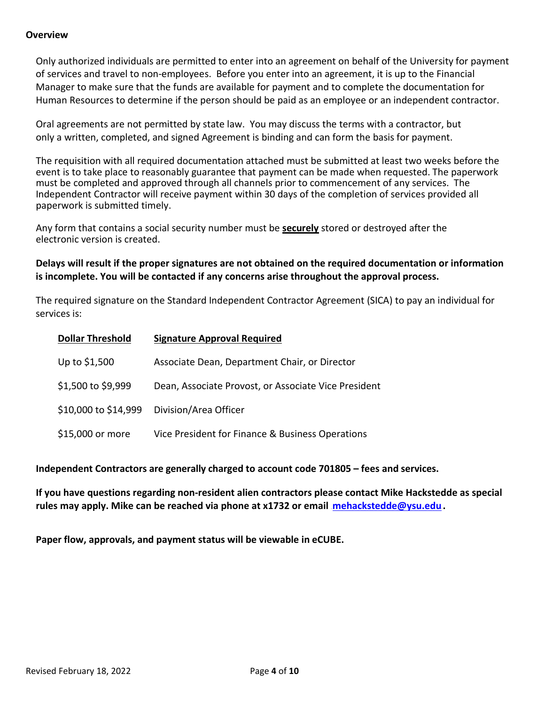## <span id="page-3-0"></span>**Overview**

Only authorized individuals are permitted to enter into an agreement on behalf of the University for payment of services and travel to non-employees. Before you enter into an agreement, it is up to the Financial Manager to make sure that the funds are available for payment and to complete the documentation for Human Resources to determine if the person should be paid as an employee or an independent contractor.

Oral agreements are not permitted by state law. You may discuss the terms with a contractor, but only a written, completed, and signed Agreement is binding and can form the basis for payment.

The requisition with all required documentation attached must be submitted at least two weeks before the event is to take place to reasonably guarantee that payment can be made when requested. The paperwork must be completed and approved through all channels prior to commencement of any services. The Independent Contractor will receive payment within 30 days of the completion of services provided all paperwork is submitted timely.

Any form that contains a social security number must be **securely** stored or destroyed after the electronic version is created.

**Delays will result if the proper signatures are not obtained on the required documentation or information is incomplete. You will be contacted if any concerns arise throughout the approval process.**

The required signature on the Standard Independent Contractor Agreement (SICA) to pay an individual for services is:

| <b>Dollar Threshold</b> | <b>Signature Approval Required</b>                   |
|-------------------------|------------------------------------------------------|
| Up to \$1,500           | Associate Dean, Department Chair, or Director        |
| \$1,500 to \$9,999      | Dean, Associate Provost, or Associate Vice President |
| \$10,000 to \$14,999    | Division/Area Officer                                |
| \$15,000 or more        | Vice President for Finance & Business Operations     |

**Independent Contractors are generally charged to account code 701805 – fees and services.**

**If you have questions regarding non-resident alien contractors please contact Mike Hackstedde as special**  rules may apply. Mike can be reached via phone at x1732 or email **[mehackstedde@ysu.edu](mailto:mehackstedde@ysu.edu).** 

**Paper flow, approvals, and payment status will be viewable in eCUBE.**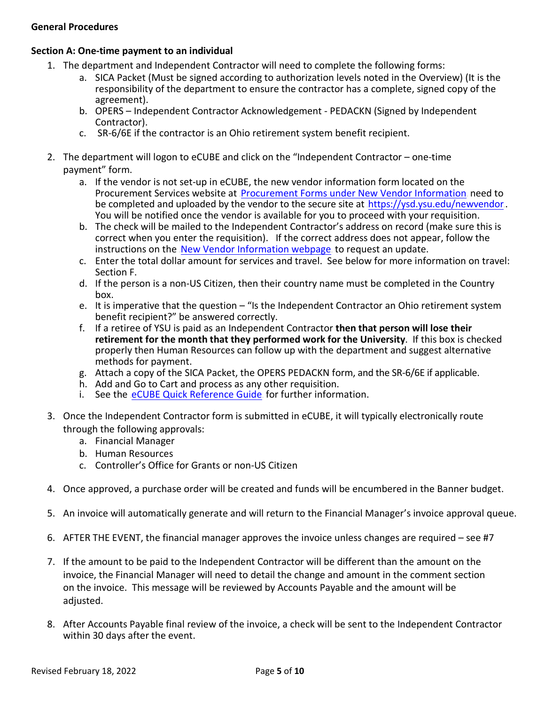## <span id="page-4-0"></span>**General Procedures**

## <span id="page-4-1"></span>**Section A: One-time payment to an individual**

- 1. The department and Independent Contractor will need to complete the following forms:
	- a. SICA Packet (Must be signed according to authorization levels noted in the Overview) (It is the responsibility of the department to ensure the contractor has a complete, signed copy of the agreement).
	- b. OPERS Independent Contractor Acknowledgement PEDACKN (Signed by Independent Contractor).
	- c. SR-6/6E if the contractor is an Ohio retirement system benefit recipient.
- 2. The department will logon to eCUBE and click on the "Independent Contractor one-time payment" form.
	- a. If the vendor is not set-up in eCUBE, the new vendor information form located on the Procurement Services website at [Procurement Forms under New Vendor Information](https://cms.ysu.edu/administrative-offices/procurement-services/procurement-forms), need to be completed and uploaded by the vendor to the secure site at  $\frac{1}{1}$ <https://ysd.ysu.edu/newvendor>. You will be notified once the vendor is available for you to proceed with your requisition.
	- b. The check will be mailed to the Independent Contractor's address on record (make sure this is correct when you enter the requisition). If the correct address does not appear, follow the instructions on the [New Vendor Information webpage](https://cms.ysu.edu/administrative-offices/procurement-services/new-vendor-information) to request an update.
	- c. Enter the total dollar amount for services and travel. See below for more information on travel: Section F.
	- d. If the person is a non-US Citizen, then their country name must be completed in the Country box.
	- e. It is imperative that the question "Is the Independent Contractor an Ohio retirement system benefit recipient?" be answered correctly.
	- f. If a retiree of YSU is paid as an Independent Contractor **then that person will lose their retirement for the month that they performed work for the University**. If this box is checked properly then Human Resources can follow up with the department and suggest alternative methods for payment.
	- g. Attach a copy of the SICA Packet, the OPERS PEDACKN form, and the SR-6/6E if applicable.
	- h. Add and Go to Cart and process as any other requisition.
	- i. See the [eCUBE Quick Reference Guide](https://cms.ysu.edu/administrative-offices/procurement-services/ecube) for further information.
- 3. Once the Independent Contractor form is submitted in eCUBE, it will typically electronically route through the following approvals:
	- a. Financial Manager
	- b. Human Resources
	- c. Controller's Office for Grants or non-US Citizen
- 4. Once approved, a purchase order will be created and funds will be encumbered in the Banner budget.
- 5. An invoice will automatically generate and will return to the Financial Manager's invoice approval queue.
- 6. AFTER THE EVENT, the financial manager approves the invoice unless changes are required see #7
- 7. If the amount to be paid to the Independent Contractor will be different than the amount on the invoice, the Financial Manager will need to detail the change and amount in the comment section on the invoice. This message will be reviewed by Accounts Payable and the amount will be adjusted.
- 8. After Accounts Payable final review of the invoice, a check will be sent to the Independent Contractor within 30 days after the event.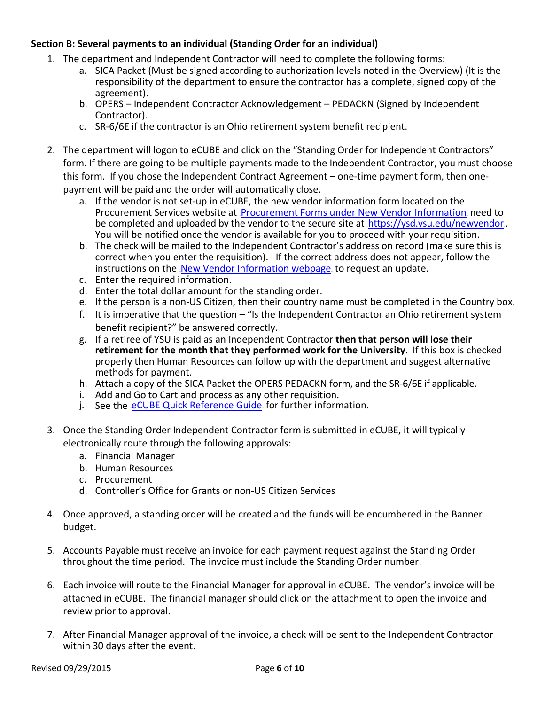# <span id="page-5-0"></span>**Section B: Several payments to an individual (Standing Order for an individual)**

- 1. The department and Independent Contractor will need to complete the following forms:
	- a. SICA Packet (Must be signed according to authorization levels noted in the Overview) (It is the responsibility of the department to ensure the contractor has a complete, signed copy of the agreement).
	- b. OPERS Independent Contractor Acknowledgement PEDACKN (Signed by Independent Contractor).
	- c. SR-6/6E if the contractor is an Ohio retirement system benefit recipient.
- 2. The department will logon to eCUBE and click on the "Standing Order for Independent Contractors" form. If there are going to be multiple payments made to the Independent Contractor, you must choose this form. If you chose the Independent Contract Agreement – one-time payment form, then onepayment will be paid and the order will automatically close.
	- a. If the vendor is not set-up in eCUBE, the new vendor information form located on the Procurement Services website at [Procurement Forms under New Vendor Information](https://cms.ysu.edu/administrative-offices/procurement-services/procurement-forms), need to be completed and uploaded by the vendor to the secure site at  $\frac{1}{1}$ <https://ysd.ysu.edu/newvendor>. You will be notified once the vendor is available for you to proceed with your requisition.
	- b. The check will be mailed to the Independent Contractor's address on record (make sure this is correct when you enter the requisition). If the correct address does not appear, follow the instructions on the [New Vendor Information webpage](https://cms.ysu.edu/administrative-offices/procurement-services/new-vendor-information) to request an update.
	- c. Enter the required information.
	- d. Enter the total dollar amount for the standing order.
	- e. If the person is a non-US Citizen, then their country name must be completed in the Country box.
	- f. It is imperative that the question "Is the Independent Contractor an Ohio retirement system benefit recipient?" be answered correctly.
	- g. If a retiree of YSU is paid as an Independent Contractor **then that person will lose their retirement for the month that they performed work for the University**. If this box is checked properly then Human Resources can follow up with the department and suggest alternative methods for payment.
	- h. Attach a copy of the SICA Packet the OPERS PEDACKN form, and the SR-6/6E if applicable.
	- i. Add and Go to Cart and process as any other requisition.
	- j. See the eCUBE [Quick Reference Guide](https://cms.ysu.edu/administrative-offices/procurement-services/ecube) for further information.
- 3. Once the Standing Order Independent Contractor form is submitted in eCUBE, it will typically electronically route through the following approvals:
	- a. Financial Manager
	- b. Human Resources
	- c. Procurement
	- d. Controller's Office for Grants or non-US Citizen Services
- 4. Once approved, a standing order will be created and the funds will be encumbered in the Banner budget.
- 5. Accounts Payable must receive an invoice for each payment request against the Standing Order throughout the time period. The invoice must include the Standing Order number.
- 6. Each invoice will route to the Financial Manager for approval in eCUBE. The vendor's invoice will be attached in eCUBE. The financial manager should click on the attachment to open the invoice and review prior to approval.
- 7. After Financial Manager approval of the invoice, a check will be sent to the Independent Contractor within 30 days after the event.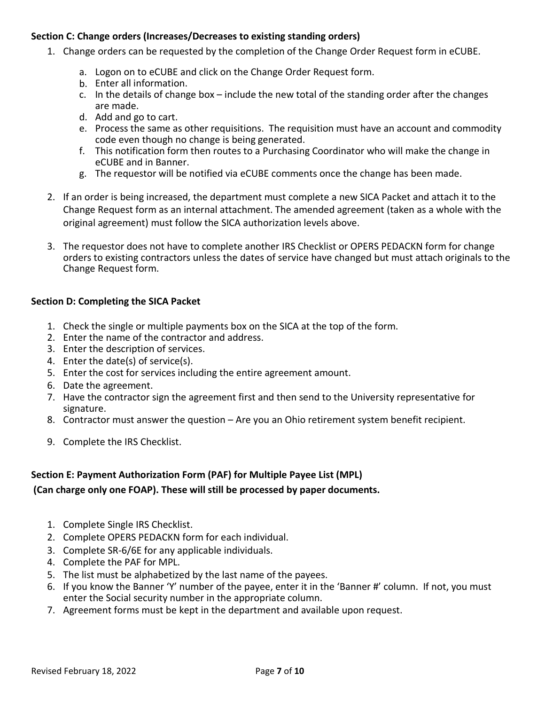## <span id="page-6-0"></span>**Section C: Change orders (Increases/Decreases to existing standing orders)**

- 1. Change orders can be requested by the completion of the Change Order Request form in eCUBE.
	- a. Logon on to eCUBE and click on the Change Order Request form.
	- b. Enter all information.
	- c. In the details of change box include the new total of the standing order after the changes are made.
	- d. Add and go to cart.
	- e. Process the same as other requisitions. The requisition must have an account and commodity code even though no change is being generated.
	- f. This notification form then routes to a Purchasing Coordinator who will make the change in eCUBE and in Banner.
	- g. The requestor will be notified via eCUBE comments once the change has been made.
- 2. If an order is being increased, the department must complete a new SICA Packet and attach it to the Change Request form as an internal attachment. The amended agreement (taken as a whole with the original agreement) must follow the SICA authorization levels above.
- 3. The requestor does not have to complete another IRS Checklist or OPERS PEDACKN form for change orders to existing contractors unless the dates of service have changed but must attach originals to the Change Request form.

# <span id="page-6-1"></span>**Section D: Completing the SICA Packet**

- 1. Check the single or multiple payments box on the SICA at the top of the form.
- 2. Enter the name of the contractor and address.
- 3. Enter the description of services.
- 4. Enter the date(s) of service(s).
- 5. Enter the cost for services including the entire agreement amount.
- 6. Date the agreement.
- 7. Have the contractor sign the agreement first and then send to the University representative for signature.
- 8. Contractor must answer the question Are you an Ohio retirement system benefit recipient.
- 9. Complete the IRS Checklist.

## <span id="page-6-2"></span>**Section E: Payment Authorization Form (PAF) for Multiple Payee List (MPL)**

# **(Can charge only one FOAP). These will still be processed by paper documents.**

- 1. Complete Single IRS Checklist.
- 2. Complete OPERS PEDACKN form for each individual.
- 3. Complete SR-6/6E for any applicable individuals.
- 4. Complete the PAF for MPL.
- 5. The list must be alphabetized by the last name of the payees.
- 6. If you know the Banner 'Y' number of the payee, enter it in the 'Banner #' column. If not, you must enter the Social security number in the appropriate column.
- 7. Agreement forms must be kept in the department and available upon request.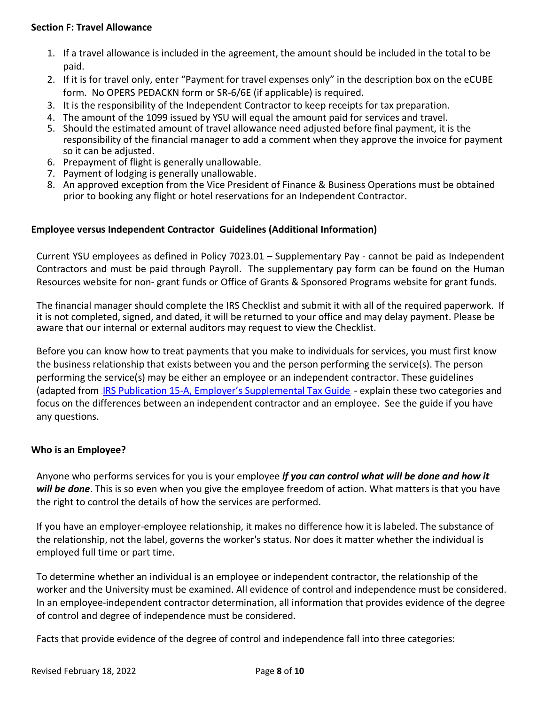## <span id="page-7-0"></span>**Section F: Travel Allowance**

- 1. If a travel allowance is included in the agreement, the amount should be included in the total to be paid.
- 2. If it is for travel only, enter "Payment for travel expenses only" in the description box on the eCUBE form. No OPERS PEDACKN form or SR-6/6E (if applicable) is required.
- 3. It is the responsibility of the Independent Contractor to keep receipts for tax preparation.
- 4. The amount of the 1099 issued by YSU will equal the amount paid for services and travel.
- 5. Should the estimated amount of travel allowance need adjusted before final payment, it is the responsibility of the financial manager to add a comment when they approve the invoice for payment so it can be adjusted.
- 6. Prepayment of flight is generally unallowable.
- 7. Payment of lodging is generally unallowable.
- 8. An approved exception from the Vice President of Finance & Business Operations must be obtained prior to booking any flight or hotel reservations for an Independent Contractor.

## <span id="page-7-1"></span>**Employee versus Independent Contractor Guidelines (Additional Information)**

Current YSU employees as defined in Policy 7023.01 – Supplementary Pay - cannot be paid as Independent Contractors and must be paid through Payroll. The supplementary pay form can be found on the Human Resources website for non- grant funds or Office of Grants & Sponsored Programs website for grant funds.

The financial manager should complete the IRS Checklist and submit it with all of the required paperwork. If it is not completed, signed, and dated, it will be returned to your office and may delay payment. Please be aware that our internal or external auditors may request to view the Checklist.

Before you can know how to treat payments that you make to individuals for services, you must first know the business relationship that exists between you and the person performing the service(s). The person performing the service(s) may be either an employee or an independent contractor. These guidelines (adapted from [IRS Publication 15-A, Employer's Supplemental](http://www.irs.gov/pub/irs-pdf/p15a.pdf) Tax Guide - explain these two categories and focus on the differences between an independent contractor and an employee. See the guide if you have any questions.

## <span id="page-7-2"></span>**Who is an Employee?**

Anyone who performs services for you is your employee *if you can control what will be done and how it will be done*. This is so even when you give the employee freedom of action. What matters is that you have the right to control the details of how the services are performed.

If you have an employer-employee relationship, it makes no difference how it is labeled. The substance of the relationship, not the label, governs the worker's status. Nor does it matter whether the individual is employed full time or part time.

To determine whether an individual is an employee or independent contractor, the relationship of the worker and the University must be examined. All evidence of control and independence must be considered. In an employee-independent contractor determination, all information that provides evidence of the degree of control and degree of independence must be considered.

Facts that provide evidence of the degree of control and independence fall into three categories: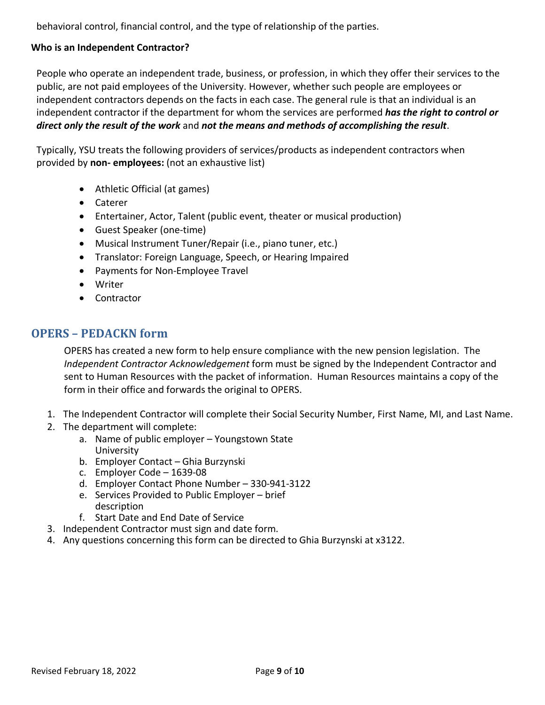behavioral control, financial control, and the type of relationship of the parties.

# <span id="page-8-0"></span>**Who is an Independent Contractor?**

People who operate an independent trade, business, or profession, in which they offer their services to the public, are not paid employees of the University. However, whether such people are employees or independent contractors depends on the facts in each case. The general rule is that an individual is an independent contractor if the department for whom the services are performed *has the right to control or direct only the result of the work* and *not the means and methods of accomplishing the result*.

Typically, YSU treats the following providers of services/products as independent contractors when provided by **non- employees:** (not an exhaustive list)

- Athletic Official (at games)
- Caterer
- Entertainer, Actor, Talent (public event, theater or musical production)
- Guest Speaker (one-time)
- Musical Instrument Tuner/Repair (i.e., piano tuner, etc.)
- Translator: Foreign Language, Speech, or Hearing Impaired
- Payments for Non-Employee Travel
- Writer
- Contractor

# <span id="page-8-1"></span>**OPERS – PEDACKN form**

OPERS has created a new form to help ensure compliance with the new pension legislation. The *Independent Contractor Acknowledgement* form must be signed by the Independent Contractor and sent to Human Resources with the packet of information. Human Resources maintains a copy of the form in their office and forwards the original to OPERS.

- 1. The Independent Contractor will complete their Social Security Number, First Name, MI, and Last Name.
- 2. The department will complete:
	- a. Name of public employer Youngstown State University
	- b. Employer Contact Ghia Burzynski
	- c. Employer Code 1639-08
	- d. Employer Contact Phone Number 330-941-3122
	- e. Services Provided to Public Employer brief description
	- f. Start Date and End Date of Service
- 3. Independent Contractor must sign and date form.
- 4. Any questions concerning this form can be directed to Ghia Burzynski at x3122.